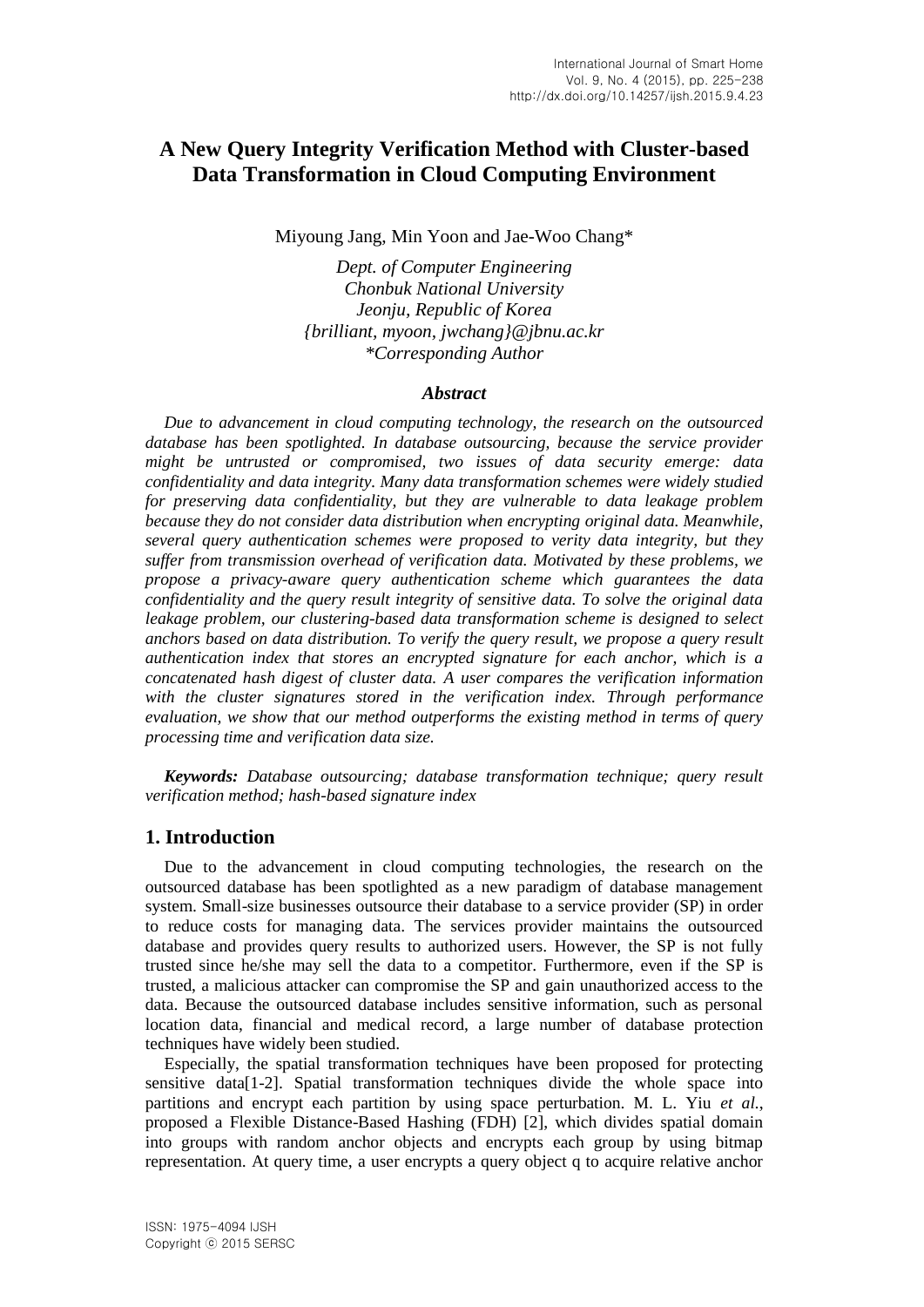# **A New Query Integrity Verification Method with Cluster-based Data Transformation in Cloud Computing Environment**

Miyoung Jang, Min Yoon and Jae-Woo Chang\*

*Dept. of Computer Engineering Chonbuk National University Jeonju, Republic of Korea {brilliant, myoon, jwchang}@jbnu.ac.kr \*Corresponding Author*

#### *Abstract*

*Due to advancement in cloud computing technology, the research on the outsourced database has been spotlighted. In database outsourcing, because the service provider might be untrusted or compromised, two issues of data security emerge: data confidentiality and data integrity. Many data transformation schemes were widely studied for preserving data confidentiality, but they are vulnerable to data leakage problem because they do not consider data distribution when encrypting original data. Meanwhile, several query authentication schemes were proposed to verity data integrity, but they suffer from transmission overhead of verification data. Motivated by these problems, we propose a privacy-aware query authentication scheme which guarantees the data confidentiality and the query result integrity of sensitive data. To solve the original data leakage problem, our clustering-based data transformation scheme is designed to select anchors based on data distribution. To verify the query result, we propose a query result authentication index that stores an encrypted signature for each anchor, which is a concatenated hash digest of cluster data. A user compares the verification information with the cluster signatures stored in the verification index. Through performance evaluation, we show that our method outperforms the existing method in terms of query processing time and verification data size.*

*Keywords: Database outsourcing; database transformation technique; query result verification method; hash-based signature index*

# **1. Introduction**

Due to the advancement in cloud computing technologies, the research on the outsourced database has been spotlighted as a new paradigm of database management system. Small-size businesses outsource their database to a service provider (SP) in order to reduce costs for managing data. The services provider maintains the outsourced database and provides query results to authorized users. However, the SP is not fully trusted since he/she may sell the data to a competitor. Furthermore, even if the SP is trusted, a malicious attacker can compromise the SP and gain unauthorized access to the data. Because the outsourced database includes sensitive information, such as personal location data, financial and medical record, a large number of database protection techniques have widely been studied.

Especially, the spatial transformation techniques have been proposed for protecting sensitive data[1-2]. Spatial transformation techniques divide the whole space into partitions and encrypt each partition by using space perturbation. M. L. Yiu *et al.*, proposed a Flexible Distance-Based Hashing (FDH) [2], which divides spatial domain into groups with random anchor objects and encrypts each group by using bitmap representation. At query time, a user encrypts a query object q to acquire relative anchor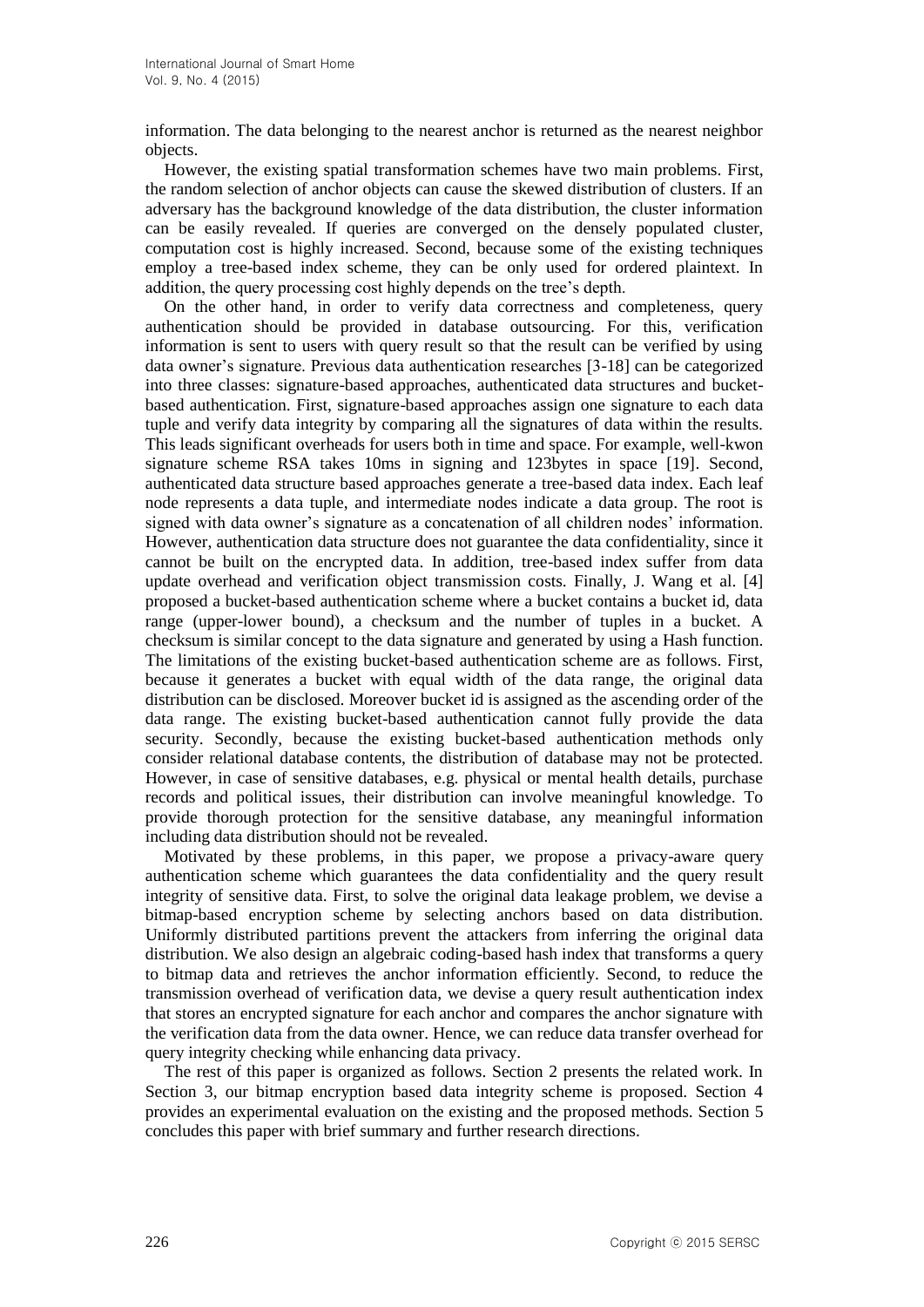information. The data belonging to the nearest anchor is returned as the nearest neighbor objects.

However, the existing spatial transformation schemes have two main problems. First, the random selection of anchor objects can cause the skewed distribution of clusters. If an adversary has the background knowledge of the data distribution, the cluster information can be easily revealed. If queries are converged on the densely populated cluster, computation cost is highly increased. Second, because some of the existing techniques employ a tree-based index scheme, they can be only used for ordered plaintext. In addition, the query processing cost highly depends on the tree's depth.

On the other hand, in order to verify data correctness and completeness, query authentication should be provided in database outsourcing. For this, verification information is sent to users with query result so that the result can be verified by using data owner's signature. Previous data authentication researches [3-18] can be categorized into three classes: signature-based approaches, authenticated data structures and bucketbased authentication. First, signature-based approaches assign one signature to each data tuple and verify data integrity by comparing all the signatures of data within the results. This leads significant overheads for users both in time and space. For example, well-kwon signature scheme RSA takes 10ms in signing and 123bytes in space [19]. Second, authenticated data structure based approaches generate a tree-based data index. Each leaf node represents a data tuple, and intermediate nodes indicate a data group. The root is signed with data owner's signature as a concatenation of all children nodes' information. However, authentication data structure does not guarantee the data confidentiality, since it cannot be built on the encrypted data. In addition, tree-based index suffer from data update overhead and verification object transmission costs. Finally, J. Wang et al. [4] proposed a bucket-based authentication scheme where a bucket contains a bucket id, data range (upper-lower bound), a checksum and the number of tuples in a bucket. A checksum is similar concept to the data signature and generated by using a Hash function. The limitations of the existing bucket-based authentication scheme are as follows. First, because it generates a bucket with equal width of the data range, the original data distribution can be disclosed. Moreover bucket id is assigned as the ascending order of the data range. The existing bucket-based authentication cannot fully provide the data security. Secondly, because the existing bucket-based authentication methods only consider relational database contents, the distribution of database may not be protected. However, in case of sensitive databases, e.g. physical or mental health details, purchase records and political issues, their distribution can involve meaningful knowledge. To provide thorough protection for the sensitive database, any meaningful information including data distribution should not be revealed.

Motivated by these problems, in this paper, we propose a privacy-aware query authentication scheme which guarantees the data confidentiality and the query result integrity of sensitive data. First, to solve the original data leakage problem, we devise a bitmap-based encryption scheme by selecting anchors based on data distribution. Uniformly distributed partitions prevent the attackers from inferring the original data distribution. We also design an algebraic coding-based hash index that transforms a query to bitmap data and retrieves the anchor information efficiently. Second, to reduce the transmission overhead of verification data, we devise a query result authentication index that stores an encrypted signature for each anchor and compares the anchor signature with the verification data from the data owner. Hence, we can reduce data transfer overhead for query integrity checking while enhancing data privacy.

The rest of this paper is organized as follows. Section 2 presents the related work. In Section 3, our bitmap encryption based data integrity scheme is proposed. Section 4 provides an experimental evaluation on the existing and the proposed methods. Section 5 concludes this paper with brief summary and further research directions.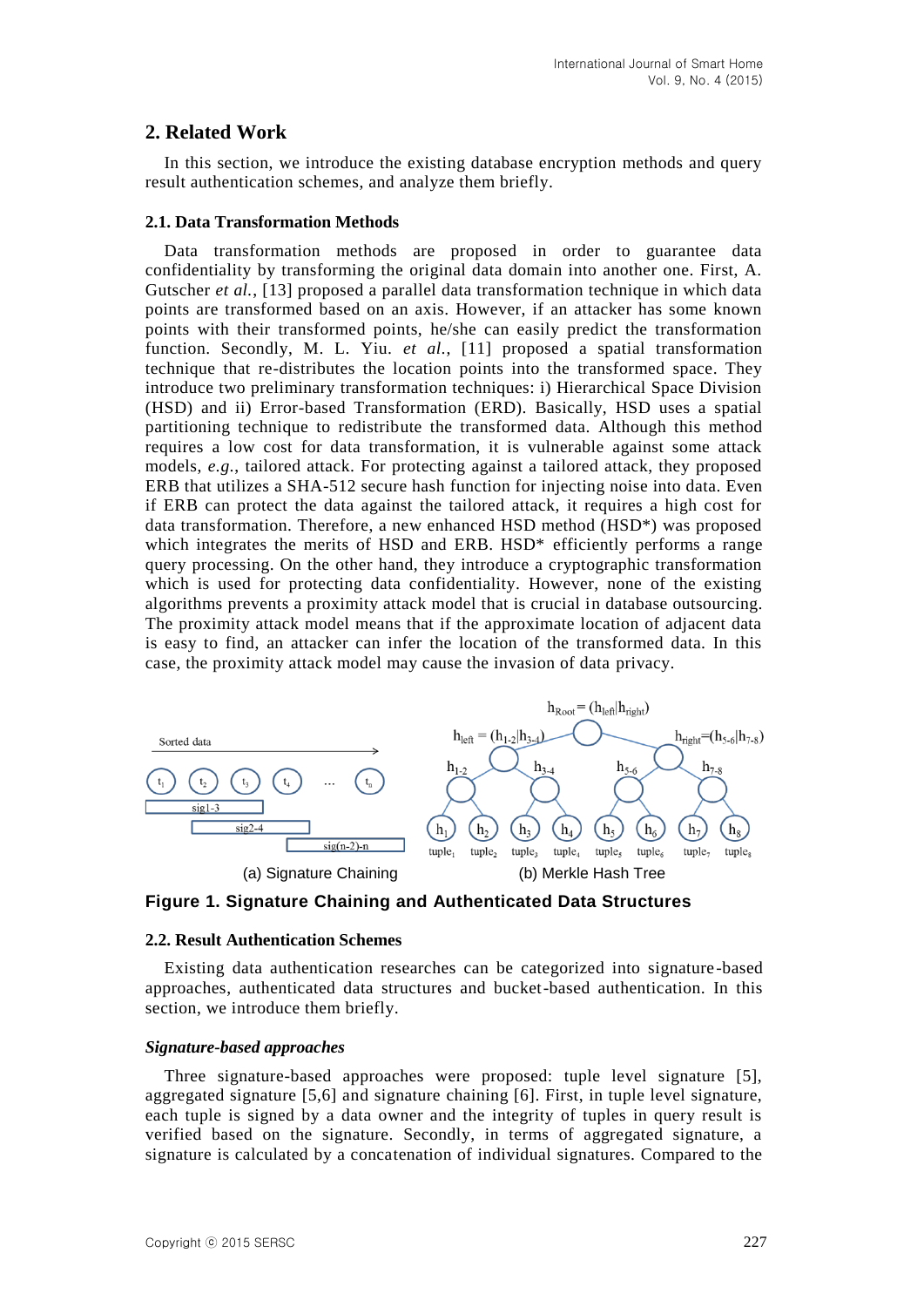# **2. Related Work**

In this section, we introduce the existing database encryption methods and query result authentication schemes, and analyze them briefly.

### **2.1. Data Transformation Methods**

Data transformation methods are proposed in order to guarantee data confidentiality by transforming the original data domain into another one. First, A. Gutscher *et al.*, [13] proposed a parallel data transformation technique in which data points are transformed based on an axis. However, if an attacker has some known points with their transformed points, he/she can easily predict the transformation function. Secondly, M. L. Yiu. *et al.*, [11] proposed a spatial transformation technique that re-distributes the location points into the transformed space. They introduce two preliminary transformation techniques: i) Hierarchical Space Division (HSD) and ii) Error-based Transformation (ERD). Basically, HSD uses a spatial partitioning technique to redistribute the transformed data. Although this method requires a low cost for data transformation, it is vulnerable against some attack models, *e.g.*, tailored attack. For protecting against a tailored attack, they proposed ERB that utilizes a SHA-512 secure hash function for injecting noise into data. Even if ERB can protect the data against the tailored attack, it requires a high cost for data transformation. Therefore, a new enhanced HSD method (HSD\*) was proposed which integrates the merits of HSD and ERB. HSD<sup>\*</sup> efficiently performs a range query processing. On the other hand, they introduce a cryptographic transformation which is used for protecting data confidentiality. However, none of the existing algorithms prevents a proximity attack model that is crucial in database outsourcing. The proximity attack model means that if the approximate location of adjacent data is easy to find, an attacker can infer the location of the transformed data. In this case, the proximity attack model may cause the invasion of data privacy.



**Figure 1. Signature Chaining and Authenticated Data Structures**

#### **2.2. Result Authentication Schemes**

Existing data authentication researches can be categorized into signature -based approaches, authenticated data structures and bucket-based authentication. In this section, we introduce them briefly.

## *Signature-based approaches*

Three signature-based approaches were proposed: tuple level signature [5], aggregated signature [5,6] and signature chaining [6]. First, in tuple level signature, each tuple is signed by a data owner and the integrity of tuples in query result is verified based on the signature. Secondly, in terms of aggregated signature, a signature is calculated by a concatenation of individual signatures. Compared to the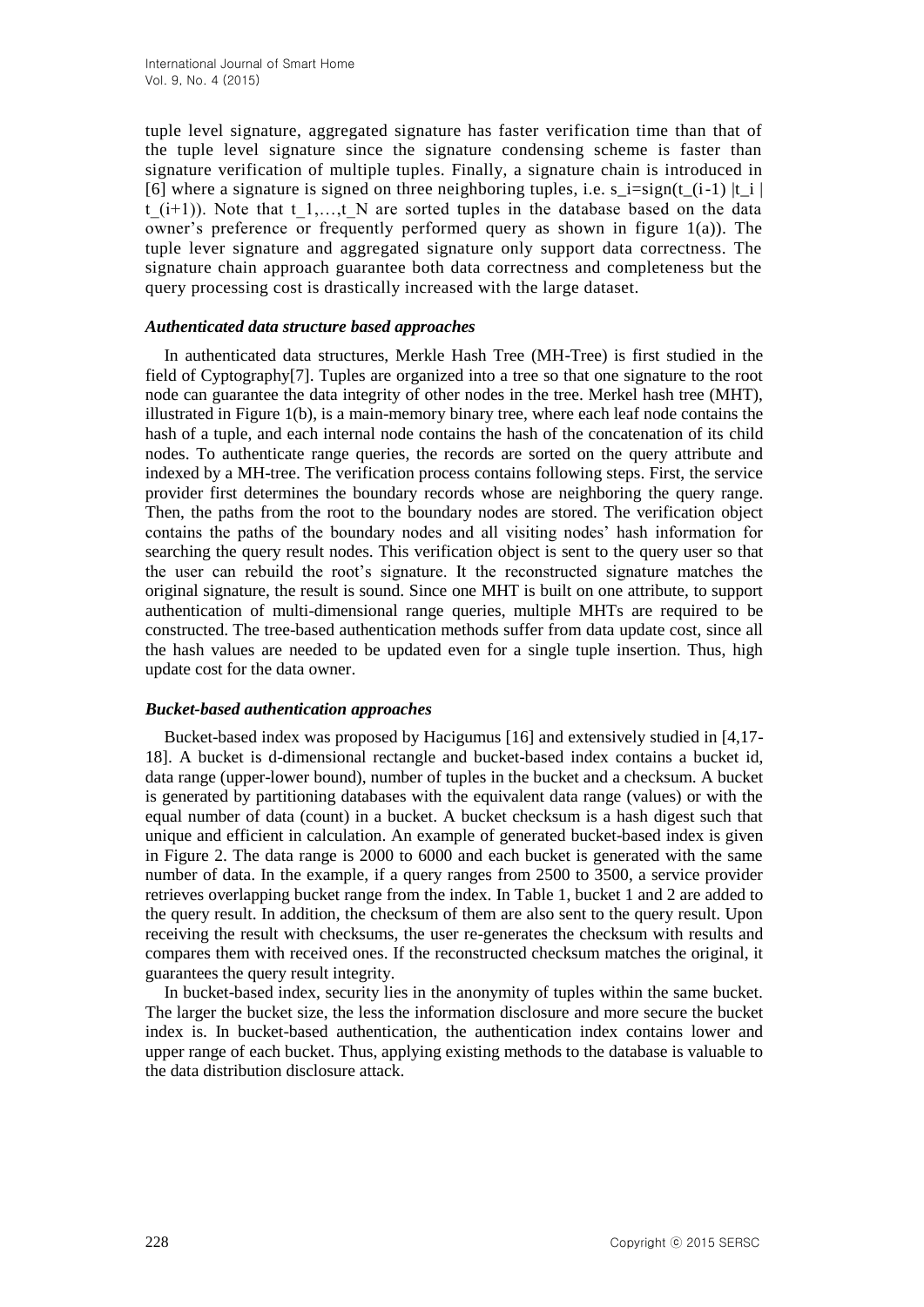tuple level signature, aggregated signature has faster verification time than that of the tuple level signature since the signature condensing scheme is faster than signature verification of multiple tuples. Finally, a signature chain is introduced in [6] where a signature is signed on three neighboring tuples, i.e. s\_i=sign(t\_(i-1) |t\_i | t  $(i+1)$ ). Note that t 1,…,t N are sorted tuples in the database based on the data owner's preference or frequently performed query as shown in figure 1(a)). The tuple lever signature and aggregated signature only support data correctness. The signature chain approach guarantee both data correctness and completeness but the query processing cost is drastically increased with the large dataset.

#### *Authenticated data structure based approaches*

In authenticated data structures, Merkle Hash Tree (MH-Tree) is first studied in the field of Cyptography[7]. Tuples are organized into a tree so that one signature to the root node can guarantee the data integrity of other nodes in the tree. Merkel hash tree (MHT), illustrated in Figure 1(b), is a main-memory binary tree, where each leaf node contains the hash of a tuple, and each internal node contains the hash of the concatenation of its child nodes. To authenticate range queries, the records are sorted on the query attribute and indexed by a MH-tree. The verification process contains following steps. First, the service provider first determines the boundary records whose are neighboring the query range. Then, the paths from the root to the boundary nodes are stored. The verification object contains the paths of the boundary nodes and all visiting nodes' hash information for searching the query result nodes. This verification object is sent to the query user so that the user can rebuild the root's signature. It the reconstructed signature matches the original signature, the result is sound. Since one MHT is built on one attribute, to support authentication of multi-dimensional range queries, multiple MHTs are required to be constructed. The tree-based authentication methods suffer from data update cost, since all the hash values are needed to be updated even for a single tuple insertion. Thus, high update cost for the data owner.

#### *Bucket-based authentication approaches*

Bucket-based index was proposed by Hacigumus [16] and extensively studied in [4,17- 18]. A bucket is d-dimensional rectangle and bucket-based index contains a bucket id, data range (upper-lower bound), number of tuples in the bucket and a checksum. A bucket is generated by partitioning databases with the equivalent data range (values) or with the equal number of data (count) in a bucket. A bucket checksum is a hash digest such that unique and efficient in calculation. An example of generated bucket-based index is given in Figure 2. The data range is 2000 to 6000 and each bucket is generated with the same number of data. In the example, if a query ranges from 2500 to 3500, a service provider retrieves overlapping bucket range from the index. In Table 1, bucket 1 and 2 are added to the query result. In addition, the checksum of them are also sent to the query result. Upon receiving the result with checksums, the user re-generates the checksum with results and compares them with received ones. If the reconstructed checksum matches the original, it guarantees the query result integrity.

In bucket-based index, security lies in the anonymity of tuples within the same bucket. The larger the bucket size, the less the information disclosure and more secure the bucket index is. In bucket-based authentication, the authentication index contains lower and upper range of each bucket. Thus, applying existing methods to the database is valuable to the data distribution disclosure attack.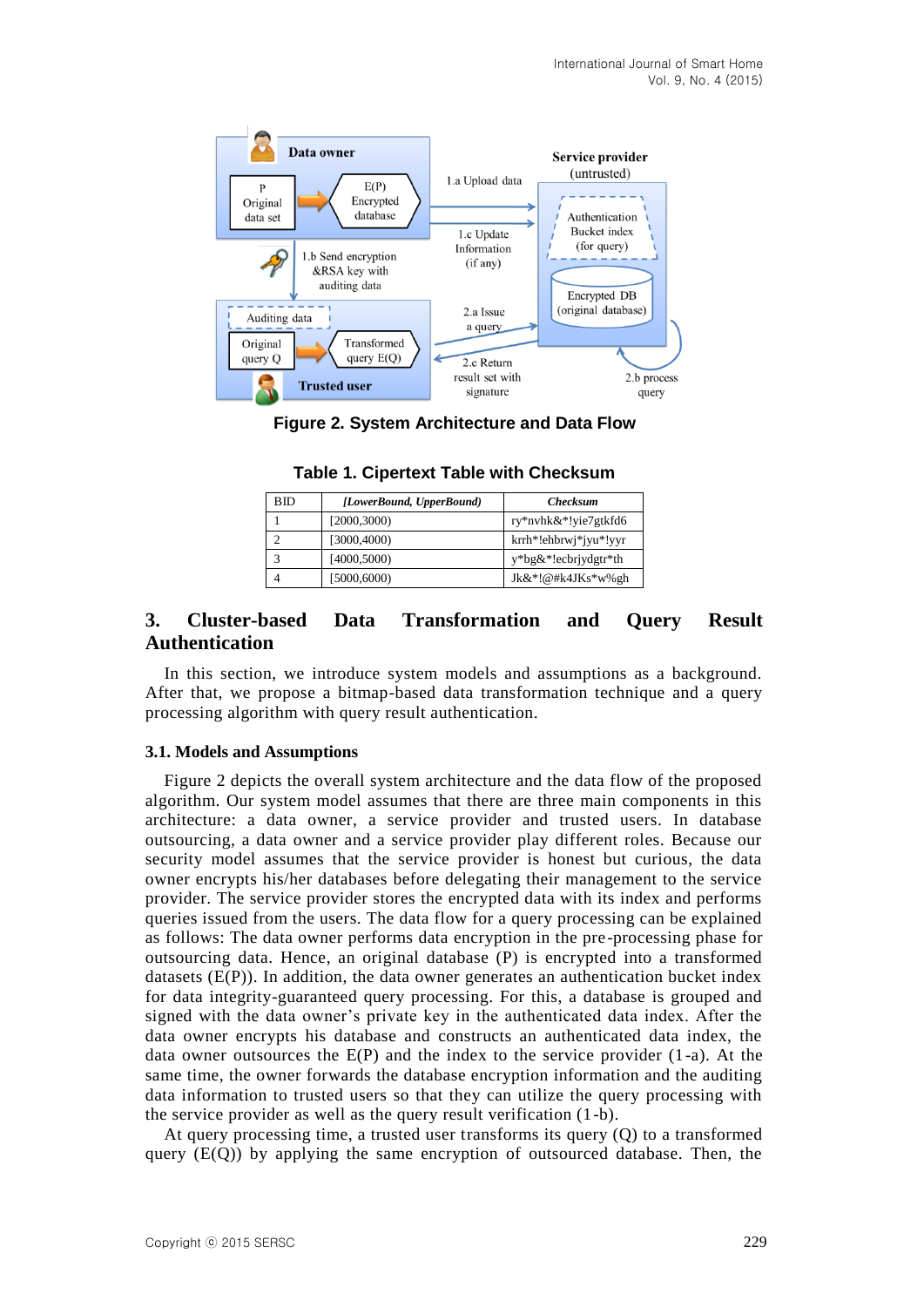

**Figure 2. System Architecture and Data Flow**

| BID | [LowerBound, UpperBound] | <b>Checksum</b>              |
|-----|--------------------------|------------------------------|
|     | [2000, 3000)             | $ry*nvhk&*!yie7gtkfd6$       |
|     | [3000, 4000]             | krrh*!ehbrwj*jyu*!yyr        |
|     | [4000, 5000]             | $y * bg & * lechrydgtr * th$ |
|     | [5000, 6000]             | Jk&*!@#k4JKs*w%gh            |

**Table 1. Cipertext Table with Checksum**

# **3. Cluster-based Data Transformation and Query Result Authentication**

In this section, we introduce system models and assumptions as a background. After that, we propose a bitmap-based data transformation technique and a query processing algorithm with query result authentication.

## **3.1. Models and Assumptions**

Figure 2 depicts the overall system architecture and the data flow of the proposed algorithm. Our system model assumes that there are three main components in this architecture: a data owner, a service provider and trusted users. In database outsourcing, a data owner and a service provider play different roles. Because our security model assumes that the service provider is honest but curious, the data owner encrypts his/her databases before delegating their management to the service provider. The service provider stores the encrypted data with its index and performs queries issued from the users. The data flow for a query processing can be explained as follows: The data owner performs data encryption in the pre-processing phase for outsourcing data. Hence, an original database (P) is encrypted into a transformed datasets  $(E(P))$ . In addition, the data owner generates an authentication bucket index for data integrity-guaranteed query processing. For this, a database is grouped and signed with the data owner's private key in the authenticated data index. After the data owner encrypts his database and constructs an authenticated data index, the data owner outsources the  $E(P)$  and the index to the service provider (1-a). At the same time, the owner forwards the database encryption information and the auditing data information to trusted users so that they can utilize the query processing with the service provider as well as the query result verification (1-b).

At query processing time, a trusted user transforms its query (Q) to a transformed query  $(E(Q))$  by applying the same encryption of outsourced database. Then, the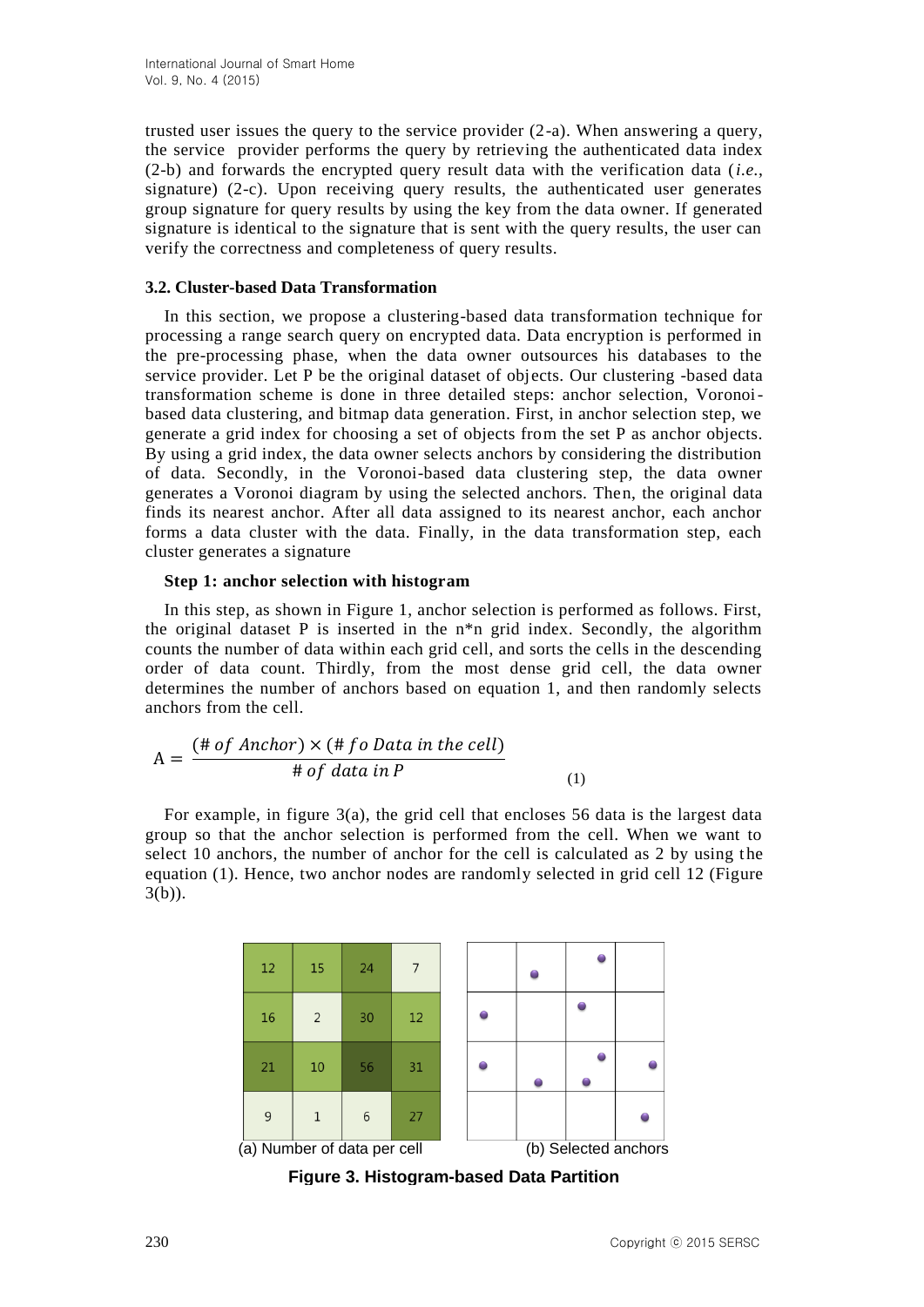trusted user issues the query to the service provider (2-a). When answering a query, the service provider performs the query by retrieving the authenticated data index (2-b) and forwards the encrypted query result data with the verification data (*i.e.*, signature) (2-c). Upon receiving query results, the authenticated user generates group signature for query results by using the key from the data owner. If generated signature is identical to the signature that is sent with the query results, the user can verify the correctness and completeness of query results.

## **3.2. Cluster-based Data Transformation**

In this section, we propose a clustering-based data transformation technique for processing a range search query on encrypted data. Data encryption is performed in the pre-processing phase, when the data owner outsources his databases to the service provider. Let P be the original dataset of objects. Our clustering -based data transformation scheme is done in three detailed steps: anchor selection, Voronoibased data clustering, and bitmap data generation. First, in anchor selection step, we generate a grid index for choosing a set of objects from the set P as anchor objects. By using a grid index, the data owner selects anchors by considering the distribution of data. Secondly, in the Voronoi-based data clustering step, the data owner generates a Voronoi diagram by using the selected anchors. Then, the original data finds its nearest anchor. After all data assigned to its nearest anchor, each anchor forms a data cluster with the data. Finally, in the data transformation step, each cluster generates a signature

## **Step 1: anchor selection with histogram**

In this step, as shown in Figure 1, anchor selection is performed as follows. First, the original dataset P is inserted in the n\*n grid index. Secondly, the algorithm counts the number of data within each grid cell, and sorts the cells in the descending order of data count. Thirdly, from the most dense grid cell, the data owner determines the number of anchors based on equation 1, and then randomly selects anchors from the cell.

$$
A = \frac{(\text{# of } Anchor) \times (\text{# fo } Data \text{ in } the \text{ cell})}{\text{# of } data \text{ in } P}
$$
(1)

For example, in figure 3(a), the grid cell that encloses 56 data is the largest data group so that the anchor selection is performed from the cell. When we want to select 10 anchors, the number of anchor for the cell is calculated as 2 by using the equation (1). Hence, two anchor nodes are randomly selected in grid cell 12 (Figure 3(b)).



**Figure 3. Histogram-based Data Partition**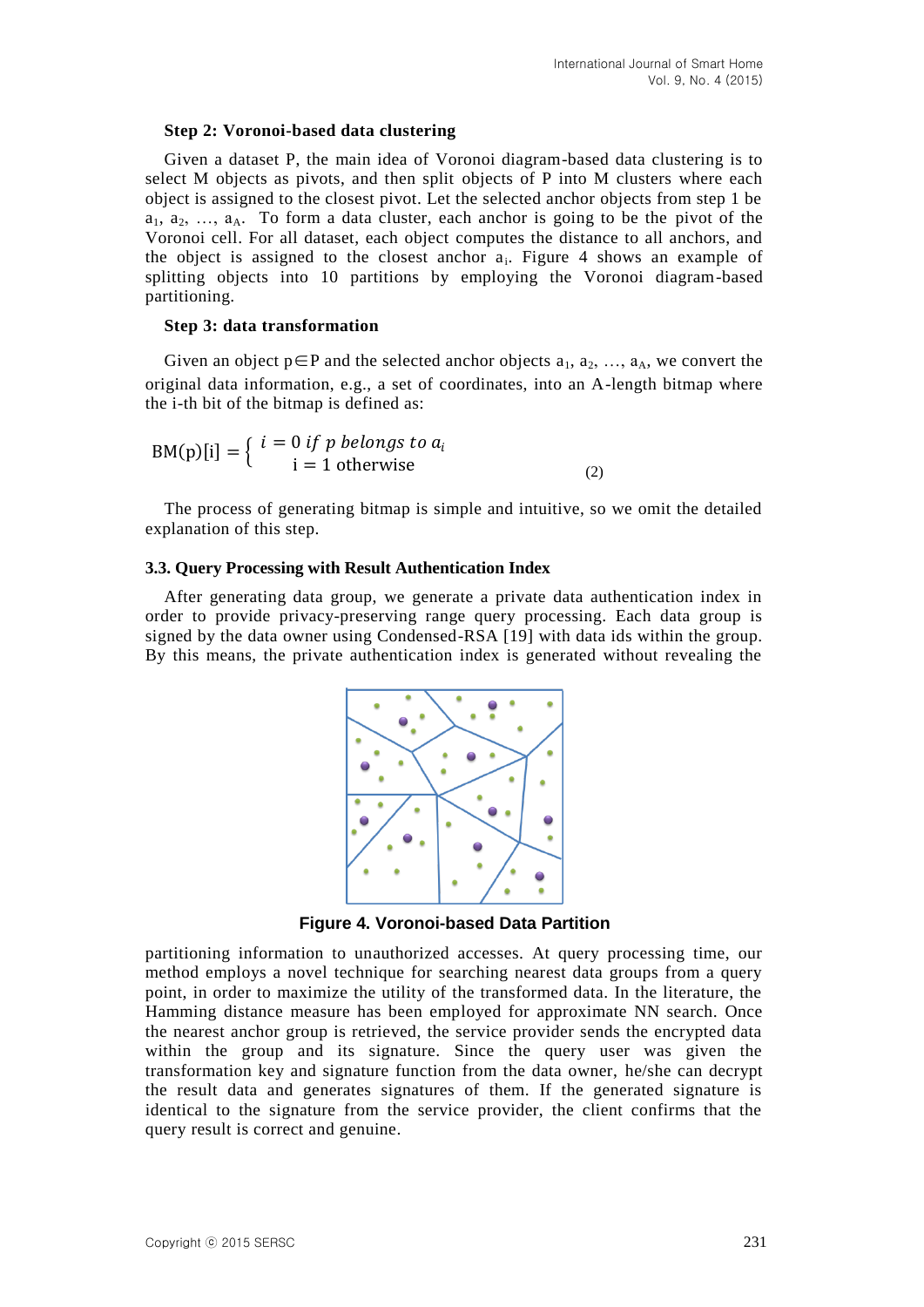#### **Step 2: Voronoi-based data clustering**

Given a dataset P, the main idea of Voronoi diagram-based data clustering is to select M objects as pivots, and then split objects of P into M clusters where each object is assigned to the closest pivot. Let the selected anchor objects from step 1 be  $a_1, a_2, \ldots, a_A$ . To form a data cluster, each anchor is going to be the pivot of the Voronoi cell. For all dataset, each object computes the distance to all anchors, and the object is assigned to the closest anchor  $a_i$ . Figure 4 shows an example of splitting objects into 10 partitions by employing the Voronoi diagram-based partitioning.

#### **Step 3: data transformation**

Given an object  $p \in P$  and the selected anchor objects  $a_1, a_2, ..., a_A$ , we convert the original data information, e.g., a set of coordinates, into an A-length bitmap where the i-th bit of the bitmap is defined as:

$$
BM(p)[i] = \begin{cases} i = 0 \text{ if } p \text{ belongs to } a_i \\ i = 1 \text{ otherwise} \end{cases}
$$
 (2)

The process of generating bitmap is simple and intuitive, so we omit the detailed explanation of this step.

## **3.3. Query Processing with Result Authentication Index**

After generating data group, we generate a private data authentication index in order to provide privacy-preserving range query processing. Each data group is signed by the data owner using Condensed-RSA [19] with data ids within the group. By this means, the private authentication index is generated without revealing the



**Figure 4. Voronoi-based Data Partition**

partitioning information to unauthorized accesses. At query processing time, our method employs a novel technique for searching nearest data groups from a query point, in order to maximize the utility of the transformed data. In the literature, the Hamming distance measure has been employed for approximate NN search. Once the nearest anchor group is retrieved, the service provider sends the encrypted data within the group and its signature. Since the query user was given the transformation key and signature function from the data owner, he/she can decrypt the result data and generates signatures of them. If the generated signature is identical to the signature from the service provider, the client confirms that the query result is correct and genuine.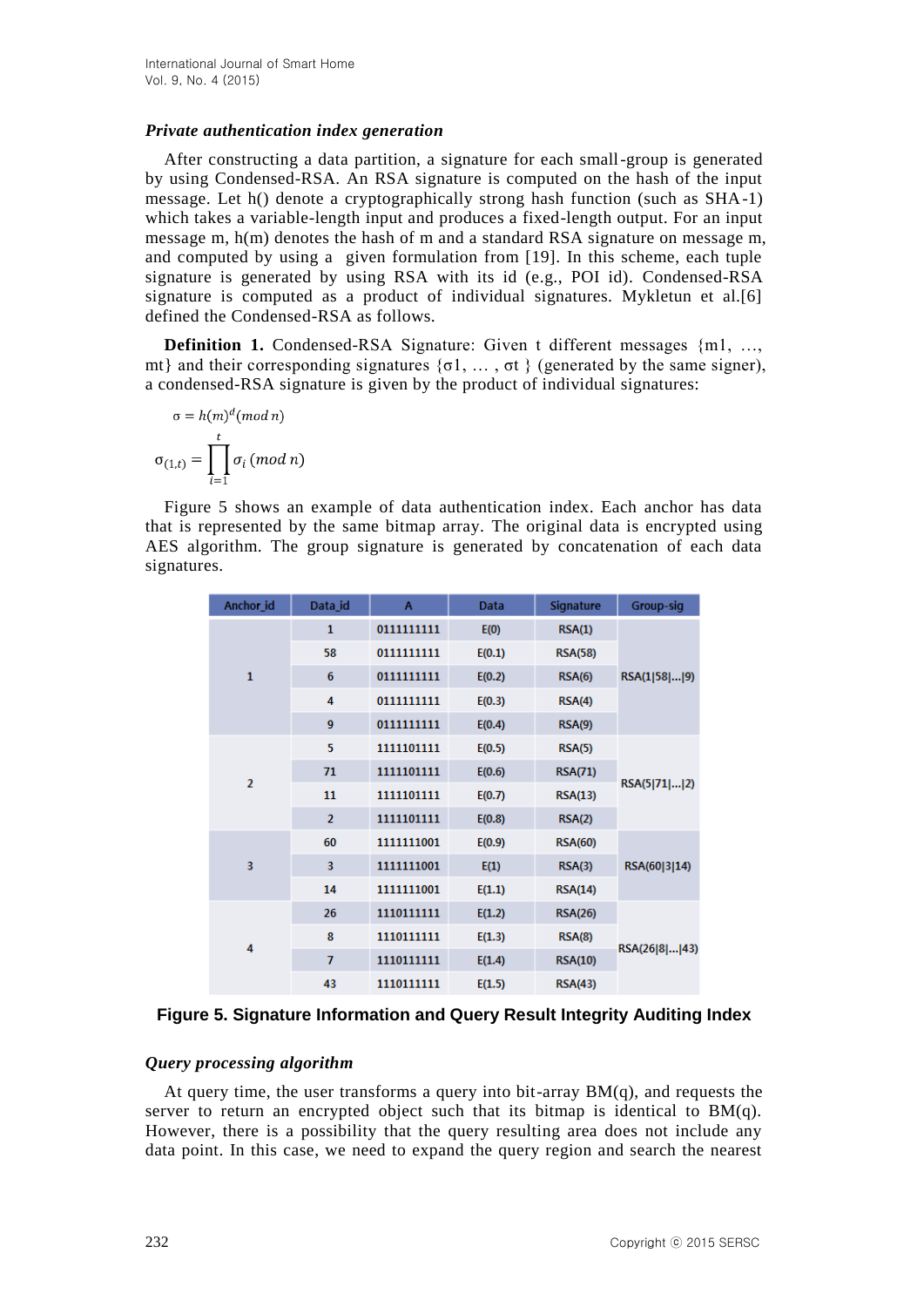## *Private authentication index generation*

After constructing a data partition, a signature for each small-group is generated by using Condensed-RSA. An RSA signature is computed on the hash of the input message. Let h() denote a cryptographically strong hash function (such as SHA-1) which takes a variable-length input and produces a fixed-length output. For an input message m, h(m) denotes the hash of m and a standard RSA signature on message m, and computed by using a given formulation from [19]. In this scheme, each tuple signature is generated by using RSA with its id (e.g., POI id). Condensed-RSA signature is computed as a product of individual signatures. Mykletun et al.[6] defined the Condensed-RSA as follows.

**Definition 1.** Condensed-RSA Signature: Given t different messages {m1, ..., mt} and their corresponding signatures  $\{\sigma_1, \ldots, \sigma_t\}$  (generated by the same signer), a condensed-RSA signature is given by the product of individual signatures:

$$
\sigma = h(m)^d (mod n)
$$

$$
\sigma_{(1,t)} = \prod_{i=1}^t \sigma_i (mod n)
$$

Figure 5 shows an example of data authentication index. Each anchor has data that is represented by the same bitmap array. The original data is encrypted using AES algorithm. The group signature is generated by concatenation of each data signatures.

| Anchor_id      | Data_id         | A           | Data   | Signature      | Group-sig     |
|----------------|-----------------|-------------|--------|----------------|---------------|
| $\mathbf{1}$   | $\mathbf{1}$    | 01111111111 | E(0)   | RSA(1)         | RSA(1 58  9)  |
|                | 58              | 01111111111 | E(0.1) | <b>RSA(58)</b> |               |
|                | $6\phantom{1}6$ | 01111111111 | E(0.2) | RSA(6)         |               |
|                | 4               | 01111111111 | E(0.3) | RSA(4)         |               |
|                | 9               | 01111111111 | E(0.4) | <b>RSA(9)</b>  |               |
|                | 5               | 1111101111  | E(0.5) | RSA(5)         | RSA(5 71  2)  |
|                | 71              | 1111101111  | E(0.6) | <b>RSA(71)</b> |               |
| $\overline{2}$ | 11              | 1111101111  | E(0.7) | <b>RSA(13)</b> |               |
|                | $\overline{2}$  | 1111101111  | E(0.8) | RSA(2)         |               |
|                | 60              | 1111111001  | E(0.9) | <b>RSA(60)</b> |               |
| 3              | 3               | 1111111001  | E(1)   | RSA(3)         | RSA(60 3 14)  |
|                | 14              | 1111111001  | E(1.1) | <b>RSA(14)</b> |               |
|                | 26              | 11101111111 | E(1.2) | <b>RSA(26)</b> |               |
| 4              | 8               | 11101111111 | E(1.3) | <b>RSA(8)</b>  |               |
|                | $\overline{7}$  | 1110111111  | E(1.4) | <b>RSA(10)</b> | RSA(26 8  43) |
|                | 43              | 11101111111 | E(1.5) | <b>RSA(43)</b> |               |

**Figure 5. Signature Information and Query Result Integrity Auditing Index**

## *Query processing algorithm*

At query time, the user transforms a query into bit-array  $BM(q)$ , and requests the server to return an encrypted object such that its bitmap is identical to  $BM(q)$ . However, there is a possibility that the query resulting area does not include any data point. In this case, we need to expand the query region and search the nearest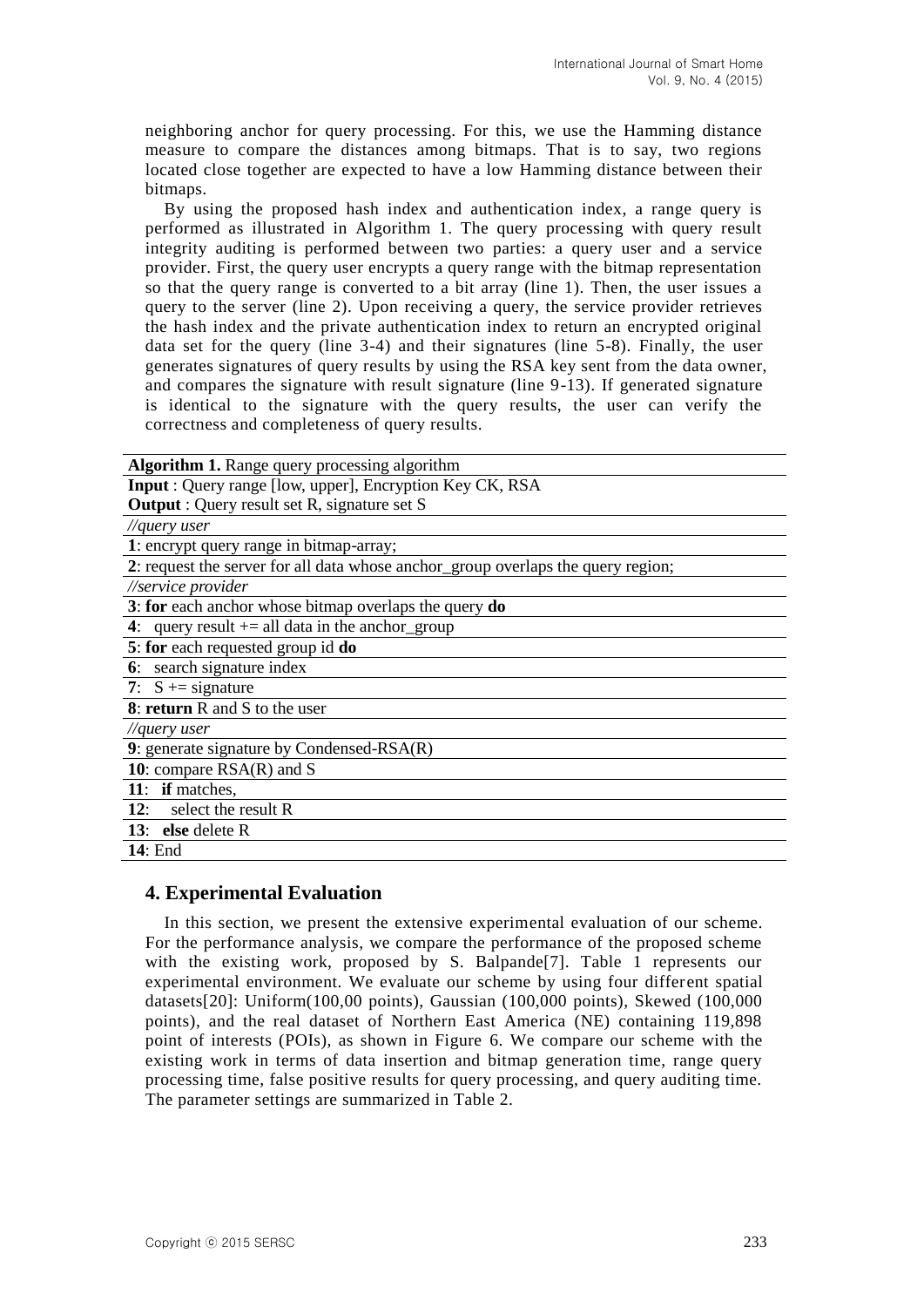neighboring anchor for query processing. For this, we use the Hamming distance measure to compare the distances among bitmaps. That is to say, two regions located close together are expected to have a low Hamming distance between their bitmaps.

By using the proposed hash index and authentication index, a range query is performed as illustrated in Algorithm 1. The query processing with query result integrity auditing is performed between two parties: a query user and a service provider. First, the query user encrypts a query range with the bitmap representation so that the query range is converted to a bit array (line 1). Then, the user issues a query to the server (line 2). Upon receiving a query, the service provider retrieves the hash index and the private authentication index to return an encrypted original data set for the query (line 3-4) and their signatures (line 5-8). Finally, the user generates signatures of query results by using the RSA key sent from the data owner, and compares the signature with result signature (line 9-13). If generated signature is identical to the signature with the query results, the user can verify the correctness and completeness of query results.

| Algorithm 1. Range query processing algorithm                                    |  |  |  |
|----------------------------------------------------------------------------------|--|--|--|
| <b>Input</b> : Query range [low, upper], Encryption Key CK, RSA                  |  |  |  |
| <b>Output</b> : Query result set R, signature set S                              |  |  |  |
| //query user                                                                     |  |  |  |
| 1: encrypt query range in bitmap-array;                                          |  |  |  |
| 2: request the server for all data whose anchor_group overlaps the query region; |  |  |  |
| //service provider                                                               |  |  |  |
| 3: for each anchor whose bitmap overlaps the query do                            |  |  |  |
| 4: query result $+=$ all data in the anchor_group                                |  |  |  |
| 5: for each requested group id do                                                |  |  |  |
| 6: search signature index                                                        |  |  |  |
| 7: $S \leftarrow$ signature                                                      |  |  |  |
| 8: return R and S to the user                                                    |  |  |  |
| //query user                                                                     |  |  |  |
| 9: generate signature by Condensed-RS $A(R)$                                     |  |  |  |
| 10: compare $RSA(R)$ and S                                                       |  |  |  |
| 11: if matches,                                                                  |  |  |  |
| 12:<br>select the result R                                                       |  |  |  |
| 13: else delete R                                                                |  |  |  |
| <b>14</b> : End                                                                  |  |  |  |
|                                                                                  |  |  |  |

# **4. Experimental Evaluation**

In this section, we present the extensive experimental evaluation of our scheme. For the performance analysis, we compare the performance of the proposed scheme with the existing work, proposed by S. Balpande<sup>[7]</sup>. Table 1 represents our experimental environment. We evaluate our scheme by using four different spatial datasets[20]: Uniform(100,00 points), Gaussian (100,000 points), Skewed (100,000 points), and the real dataset of Northern East America (NE) containing 119,898 point of interests (POIs), as shown in Figure 6. We compare our scheme with the existing work in terms of data insertion and bitmap generation time, range query processing time, false positive results for query processing, and query auditing time. The parameter settings are summarized in Table 2.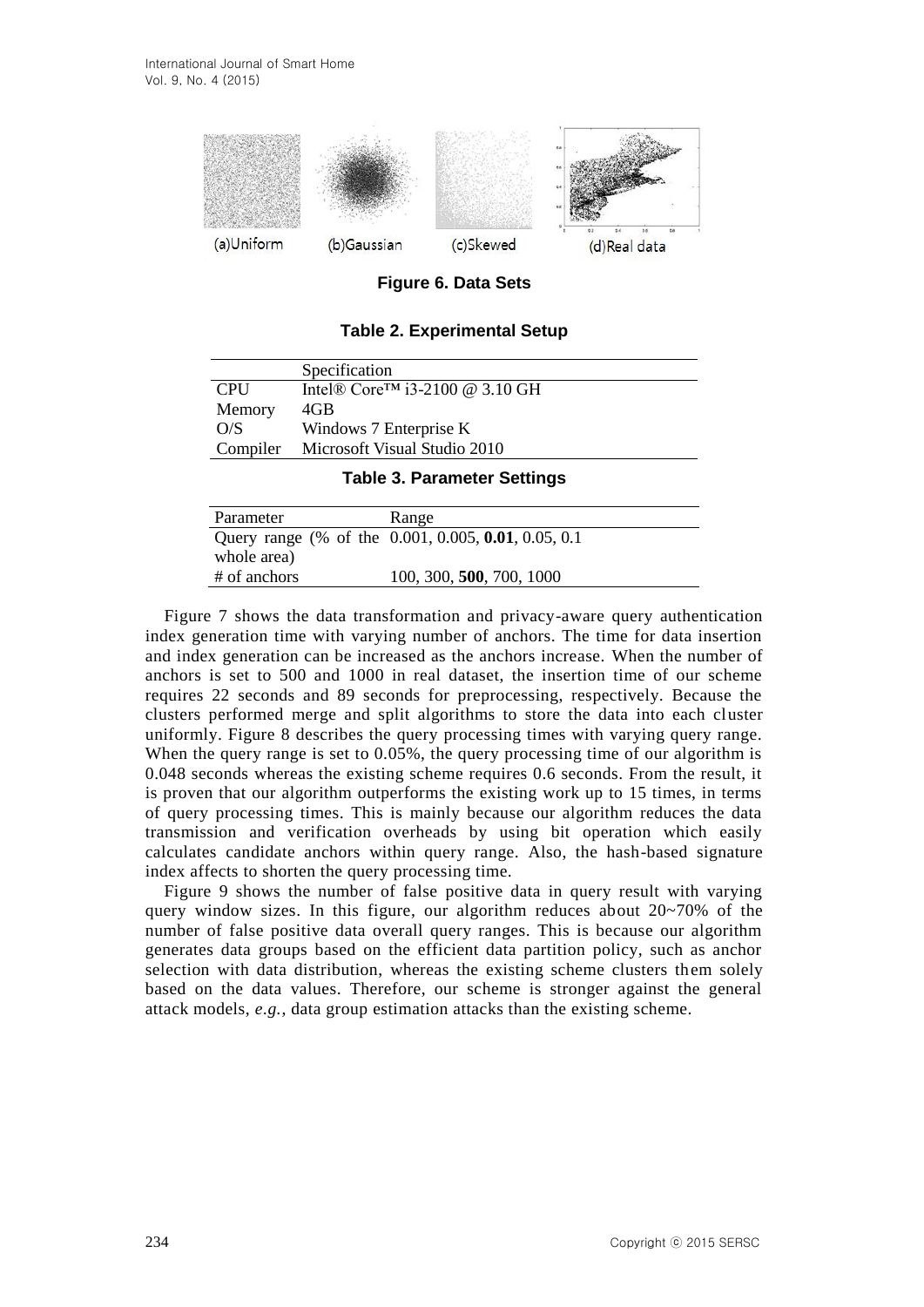

**Figure 6. Data Sets**

# **Table 2. Experimental Setup**

|            | Specification                               |
|------------|---------------------------------------------|
| <b>CPU</b> | Intel® Core <sup>TM</sup> i3-2100 @ 3.10 GH |
| Memory     | 4GB                                         |
| O/S        | Windows 7 Enterprise K                      |
|            | Compiler Microsoft Visual Studio 2010       |

## **Table 3. Parameter Settings**

| Parameter    | Range                                               |
|--------------|-----------------------------------------------------|
|              | Query range (% of the 0.001, 0.005, 0.01, 0.05, 0.1 |
| whole area)  |                                                     |
| # of anchors | 100, 300, 500, 700, 1000                            |
|              |                                                     |

Figure 7 shows the data transformation and privacy-aware query authentication index generation time with varying number of anchors. The time for data insertion and index generation can be increased as the anchors increase. When the number of anchors is set to 500 and 1000 in real dataset, the insertion time of our scheme requires 22 seconds and 89 seconds for preprocessing, respectively. Because the clusters performed merge and split algorithms to store the data into each cluster uniformly. Figure 8 describes the query processing times with varying query range. When the query range is set to 0.05%, the query processing time of our algorithm is 0.048 seconds whereas the existing scheme requires 0.6 seconds. From the result, it is proven that our algorithm outperforms the existing work up to 15 times, in terms of query processing times. This is mainly because our algorithm reduces the data transmission and verification overheads by using bit operation which easily calculates candidate anchors within query range. Also, the hash-based signature index affects to shorten the query processing time.

Figure 9 shows the number of false positive data in query result with varying query window sizes. In this figure, our algorithm reduces about  $20~\text{--}70\%$  of the number of false positive data overall query ranges. This is because our algorithm generates data groups based on the efficient data partition policy, such as anchor selection with data distribution, whereas the existing scheme clusters them solely based on the data values. Therefore, our scheme is stronger against the general attack models, *e.g.*, data group estimation attacks than the existing scheme.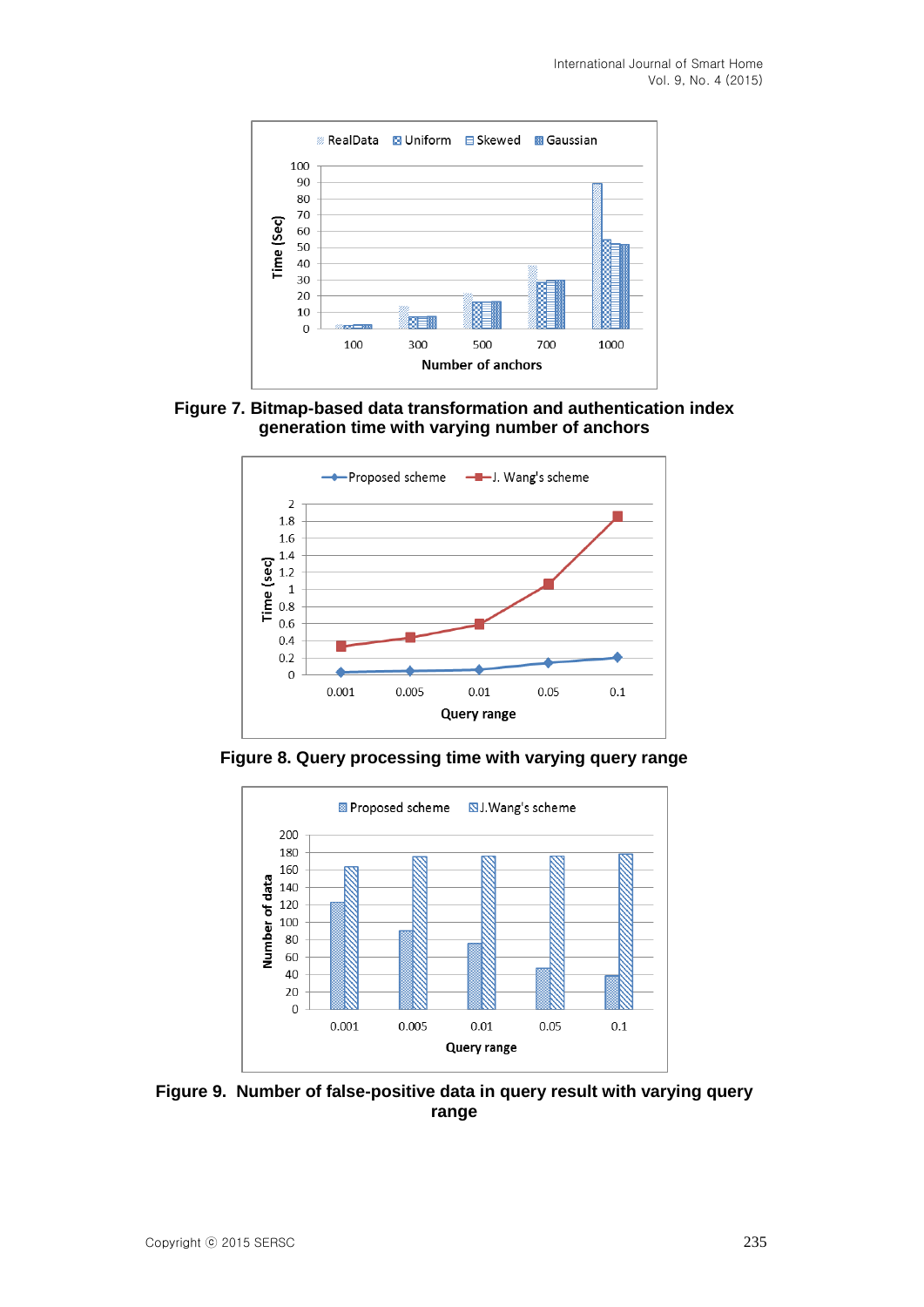

**Figure 7. Bitmap-based data transformation and authentication index generation time with varying number of anchors**



**Figure 8. Query processing time with varying query range**



**Figure 9. Number of false-positive data in query result with varying query range**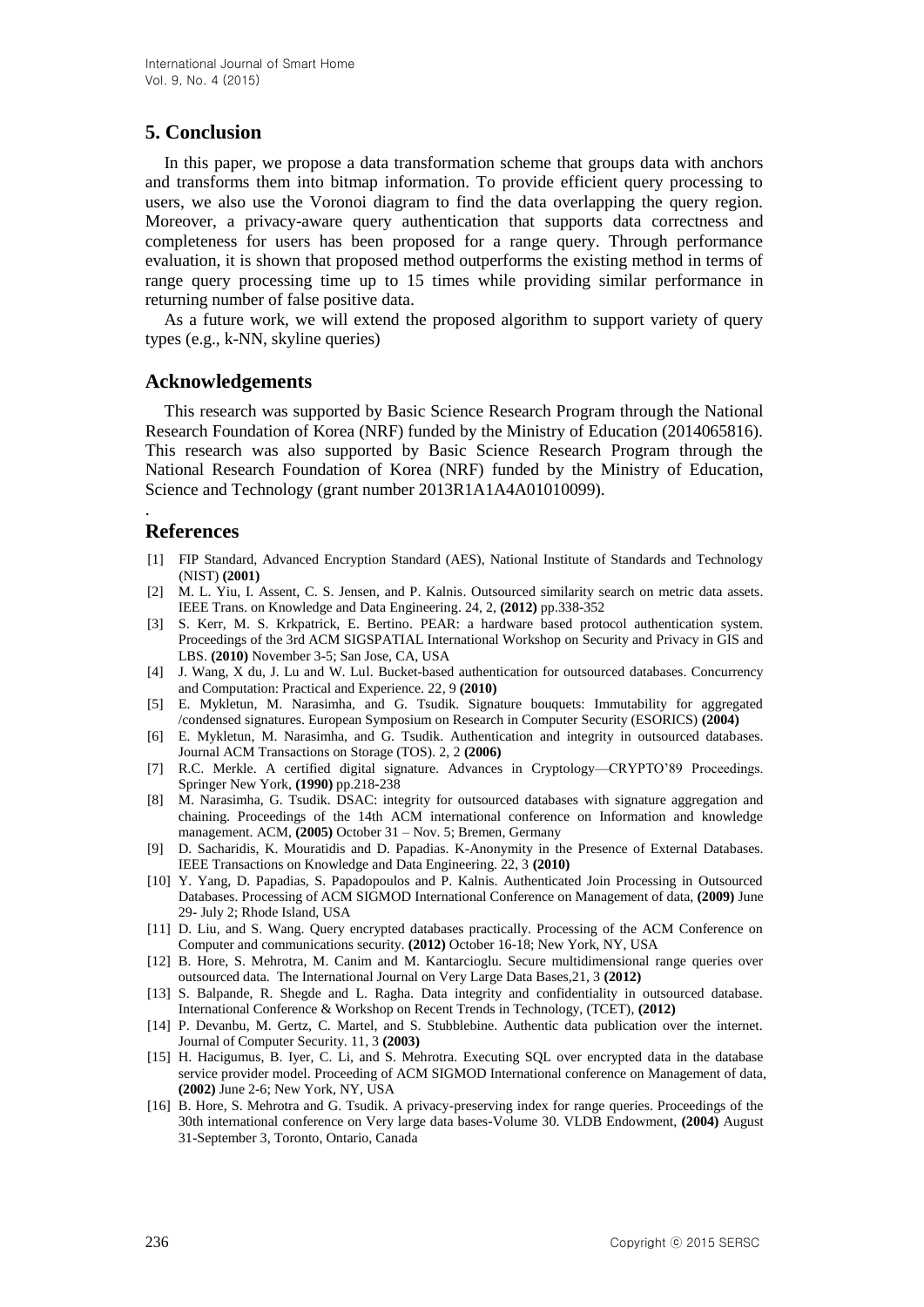# **5. Conclusion**

In this paper, we propose a data transformation scheme that groups data with anchors and transforms them into bitmap information. To provide efficient query processing to users, we also use the Voronoi diagram to find the data overlapping the query region. Moreover, a privacy-aware query authentication that supports data correctness and completeness for users has been proposed for a range query. Through performance evaluation, it is shown that proposed method outperforms the existing method in terms of range query processing time up to 15 times while providing similar performance in returning number of false positive data.

As a future work, we will extend the proposed algorithm to support variety of query types (e.g., k-NN, skyline queries)

## **Acknowledgements**

This research was supported by Basic Science Research Program through the National Research Foundation of Korea (NRF) funded by the Ministry of Education (2014065816). This research was also supported by Basic Science Research Program through the National Research Foundation of Korea (NRF) funded by the Ministry of Education, Science and Technology (grant number 2013R1A1A4A01010099).

# **References**

.

- [1] FIP Standard, Advanced Encryption Standard (AES), National Institute of Standards and Technology (NIST) **(2001)**
- [2] M. L. Yiu, I. Assent, C. S. Jensen, and P. Kalnis. Outsourced similarity search on metric data assets. IEEE Trans. on Knowledge and Data Engineering. 24, 2, **(2012)** pp.338-352
- [3] S. Kerr, M. S. Krkpatrick, E. Bertino. PEAR: a hardware based protocol authentication system. Proceedings of the 3rd ACM SIGSPATIAL International Workshop on Security and Privacy in GIS and LBS. **(2010)** November 3-5; San Jose, CA, USA
- [4] J. Wang, X du, J. Lu and W. Lul. Bucket-based authentication for outsourced databases. Concurrency and Computation: Practical and Experience. 22, 9 **(2010)**
- [5] E. Mykletun, M. Narasimha, and G. Tsudik. Signature bouquets: Immutability for aggregated /condensed signatures. European Symposium on Research in Computer Security (ESORICS) **(2004)**
- [6] E. Mykletun, M. Narasimha, and G. Tsudik. Authentication and integrity in outsourced databases. Journal ACM Transactions on Storage (TOS). 2, 2 **(2006)**
- [7] R.C. Merkle. A certified digital signature. Advances in Cryptology—CRYPTO'89 Proceedings. Springer New York, **(1990)** pp.218-238
- [8] M. Narasimha, G. Tsudik. DSAC: integrity for outsourced databases with signature aggregation and chaining. Proceedings of the 14th ACM international conference on Information and knowledge management. ACM, **(2005)** October 31 – Nov. 5; Bremen, Germany
- [9] D. Sacharidis, K. Mouratidis and D. Papadias. K-Anonymity in the Presence of External Databases. IEEE Transactions on Knowledge and Data Engineering. 22, 3 **(2010)**
- [10] Y. Yang, D. Papadias, S. Papadopoulos and P. Kalnis. Authenticated Join Processing in Outsourced Databases. Processing of ACM SIGMOD International Conference on Management of data, **(2009)** June 29- July 2; Rhode Island, USA
- [11] D. Liu, and S. Wang. Query encrypted databases practically. Processing of the ACM Conference on Computer and communications security. **(2012)** October 16-18; New York, NY, USA
- [12] B. Hore, S. Mehrotra, M. Canim and M. Kantarcioglu. Secure multidimensional range queries over outsourced data. The International Journal on Very Large Data Bases,21, 3 **(2012)**
- [13] S. Balpande, R. Shegde and L. Ragha. Data integrity and confidentiality in outsourced database. International Conference & Workshop on Recent Trends in Technology, (TCET), **(2012)**
- [14] P. Devanbu, M. Gertz, C. Martel, and S. Stubblebine. Authentic data publication over the internet. Journal of Computer Security. 11, 3 **(2003)**
- [15] H. Hacigumus, B. Iyer, C. Li, and S. Mehrotra. Executing SQL over encrypted data in the database service provider model. Proceeding of ACM SIGMOD International conference on Management of data, **(2002)** June 2-6; New York, NY, USA
- [16] B. Hore, S. Mehrotra and G. Tsudik. A privacy-preserving index for range queries. Proceedings of the 30th international conference on Very large data bases-Volume 30. VLDB Endowment, **(2004)** August 31-September 3, Toronto, Ontario, Canada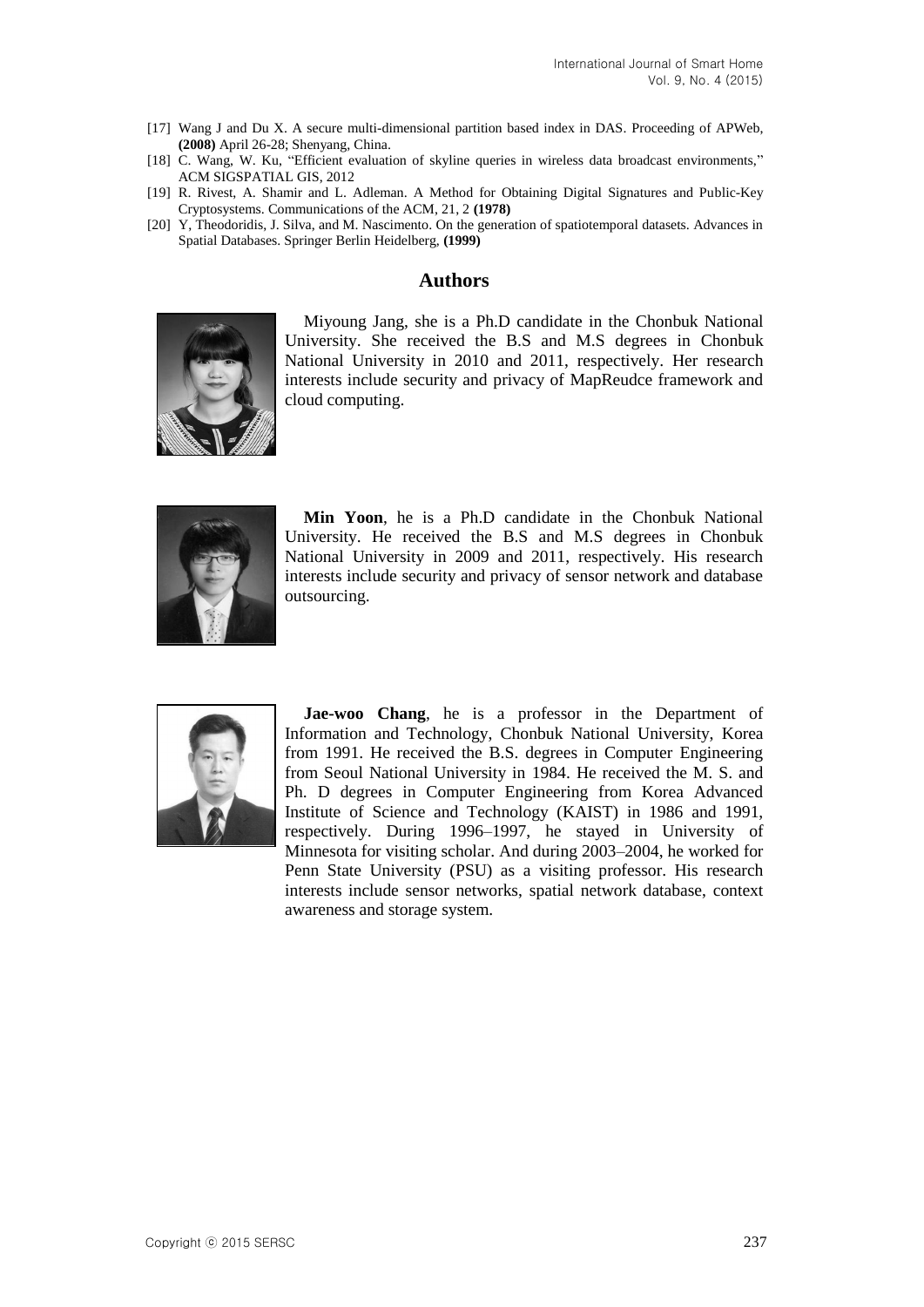- [17] Wang J and Du X. A secure multi-dimensional partition based index in DAS. Proceeding of APWeb, **(2008)** April 26-28; Shenyang, China.
- [18] C. Wang, W. Ku, "Efficient evaluation of skyline queries in wireless data broadcast environments," ACM SIGSPATIAL GIS, 2012
- [19] R. Rivest, A. Shamir and L. Adleman. A Method for Obtaining Digital Signatures and Public-Key Cryptosystems. Communications of the ACM, 21, 2 **(1978)**
- [20] Y, Theodoridis, J. Silva, and M. Nascimento. On the generation of spatiotemporal datasets. Advances in Spatial Databases. Springer Berlin Heidelberg, **(1999)**

## **Authors**



Miyoung Jang, she is a Ph.D candidate in the Chonbuk National University. She received the B.S and M.S degrees in Chonbuk National University in 2010 and 2011, respectively. Her research interests include security and privacy of MapReudce framework and cloud computing.



**Min Yoon**, he is a Ph.D candidate in the Chonbuk National University. He received the B.S and M.S degrees in Chonbuk National University in 2009 and 2011, respectively. His research interests include security and privacy of sensor network and database outsourcing.



**Jae-woo Chang**, he is a professor in the Department of Information and Technology, Chonbuk National University, Korea from 1991. He received the B.S. degrees in Computer Engineering from Seoul National University in 1984. He received the M. S. and Ph. D degrees in Computer Engineering from Korea Advanced Institute of Science and Technology (KAIST) in 1986 and 1991, respectively. During 1996–1997, he stayed in University of Minnesota for visiting scholar. And during 2003–2004, he worked for Penn State University (PSU) as a visiting professor. His research interests include sensor networks, spatial network database, context awareness and storage system.